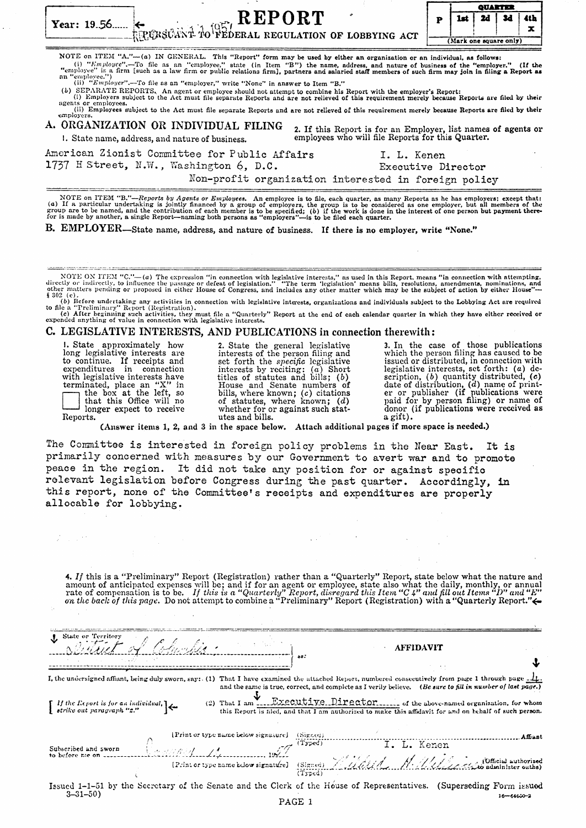|                                                                                                                                                                                                                                                                                                                                                                                                                                                                                                                                                                                                                                                                                                                                                                                                                                                                                                                                                                                                                                                                                                       |   | QUARTER                       |    |    |          |  |  |
|-------------------------------------------------------------------------------------------------------------------------------------------------------------------------------------------------------------------------------------------------------------------------------------------------------------------------------------------------------------------------------------------------------------------------------------------------------------------------------------------------------------------------------------------------------------------------------------------------------------------------------------------------------------------------------------------------------------------------------------------------------------------------------------------------------------------------------------------------------------------------------------------------------------------------------------------------------------------------------------------------------------------------------------------------------------------------------------------------------|---|-------------------------------|----|----|----------|--|--|
| $\leftarrow$ REPORT<br>RECONSIGNS TO PEDERAL REGULATION OF LOBBYING ACT<br>Year: $19.56$                                                                                                                                                                                                                                                                                                                                                                                                                                                                                                                                                                                                                                                                                                                                                                                                                                                                                                                                                                                                              | P | 1st<br>(Mark one square only) | 2d | 3d | 4th<br>x |  |  |
| NOTE on ITEM "A." $-(a)$ IN GENERAL. This "Report" form may be used by either an organization or an individual, as follows:<br>(i) "Employce".--To file as an "employee," state (in Item "B") the name, address, and nature of business of the "employer." (If the<br>"employee" is a firm [such as a law firm or public relations firm], partners and salaried staff members of such firm may join in filing a Report as<br>an "employee.")<br>(ii) "Employer".—To file as an "employer," write "None" in answer to Item "B."<br>(b) SEPARATE REPORTS, An agent or employee should not attempt to combine his Report with the employer's Report:<br>(i) Employers subject to the Act must file separate Reports and are not relieved of this requirement merely because Reports are filed by their<br>agents or employees.<br>(ii) Employees subject to the Act must file separate Reports and are not relieved of this requirement merely because Reports are filed by their<br>employers.<br>A. ORGANIZATION OR INDIVIDUAL FILING<br>2. If this Report is for an Employer, list names of agents or |   |                               |    |    |          |  |  |
| employees who will file Reports for this Quarter.<br>1. State name, address, and nature of business.                                                                                                                                                                                                                                                                                                                                                                                                                                                                                                                                                                                                                                                                                                                                                                                                                                                                                                                                                                                                  |   |                               |    |    |          |  |  |
| American Zionist Committee for Public Affairs<br>I. L. Kenen<br>1737 H Street, N.W., Washington 6, D.C.<br>Executive Director<br>Non-profit organization interested in foreign policy                                                                                                                                                                                                                                                                                                                                                                                                                                                                                                                                                                                                                                                                                                                                                                                                                                                                                                                 |   |                               |    |    |          |  |  |
| NOTE on ITEM "B."--Reports by Agents or Employees. An employee is to file, each quarter, as many Reports as he has employers; except that:<br>(a) If a particular undertaking is jointly financed by a group of employers, the group is to be considered as one employer, but all members of the<br>group are to be named, and the contribution of each member is to be specified; (b) if the work is done in the interest of one person but payment there-<br>for is made by another, a single Report-naming both persons as "employers"-is to be filed each quarter.<br>B. EMPLOYER—State name, address, and nature of business. If there is no employer, write "None."                                                                                                                                                                                                                                                                                                                                                                                                                             |   |                               |    |    |          |  |  |

NOTE ON ITEM "C."—(a) The expression "in connection with legislative interests," as used in this Report, means "in connection with attempting, directly or indirectly, to influence the passage or defeat of legislation." "T

(c) After beginning such activities, they must file a "Quarterly" Report at the end of each calendar quarter in which they havo cither received or expended anything of value in connection with legislative interests.

# c. LEGISLATIVE INTERESTS, AND PUBLICATIONS in connection therewith:

1. State approximately how 2. State the general legislative 3. In the case of those publications long legislative interests are interests of the person filing and to continue. If receipts and set forth the *specific* legi Fracelly and the set forth the specific legislative<br>expenditures in connection with<br>expenditures in connection<br>with legislative interests by reciting: (a) Short legislative interests, set forth: (a) de-<br>with legislative i

(Answer items 1, 2, and 3 in the space below. Attach additional pages if more space is needed,)

The Committee is interested in foreign policy problems in the Near East. It is primarily concerned with measures by our Government to avert war and to promote peace in the region. It did not take any position for or against specifio relevant legislation before Congress during the past quarter. Accordingly, in this report, none of the Committee's receipts and expenditures are properly allocable for lobbying.

|                                                                                                                              | 4. If this is a "Preliminary" Report (Registration) rather than a "Quarterly" Report, state below what the nature and<br>amount of anticipated expenses will be; and if for an agent or employee, state also what the daily, monthly, or annual<br>rate of compensation is to be. If this is a "Quarterly" Report, disregard this Item "C 4" and fill out Items "D" and "E"<br>on the back of this page. Do not attempt to combine a "Preliminary" Report (Registration) with a "Quarterly Report." $\leftarrow$ |                                                             |             |                                                                                                                                                                                                                                                                                                         |
|------------------------------------------------------------------------------------------------------------------------------|------------------------------------------------------------------------------------------------------------------------------------------------------------------------------------------------------------------------------------------------------------------------------------------------------------------------------------------------------------------------------------------------------------------------------------------------------------------------------------------------------------------|-------------------------------------------------------------|-------------|---------------------------------------------------------------------------------------------------------------------------------------------------------------------------------------------------------------------------------------------------------------------------------------------------------|
|                                                                                                                              |                                                                                                                                                                                                                                                                                                                                                                                                                                                                                                                  |                                                             |             |                                                                                                                                                                                                                                                                                                         |
| State or Territory                                                                                                           | Slutiet of Columbia.                                                                                                                                                                                                                                                                                                                                                                                                                                                                                             |                                                             | AFFIDAVIT   |                                                                                                                                                                                                                                                                                                         |
|                                                                                                                              | I, the undersigned affiant, being duly sworn, say: (1) That I have examined the attached Report, numbered consecutively from page 1 through page $\underline{\bot}\underline{\bot}$ .                                                                                                                                                                                                                                                                                                                            |                                                             |             |                                                                                                                                                                                                                                                                                                         |
| $\begin{bmatrix} &\textit{If the Report is for an individual,}\\ &\textit{striko out parayraph "z."}\end{bmatrix}\leftarrow$ |                                                                                                                                                                                                                                                                                                                                                                                                                                                                                                                  |                                                             |             | and the same is true, correct, and complete as I verily believe. (Be sure to fill in number of last page.)<br>(2) That I am I.I.Executive Director of the above-named organization, for whom<br>this Report is filed, and that I am authorized to make this affidavit for and on behalf of such person. |
| Subscribed and sworn                                                                                                         | Dannan 14                                                                                                                                                                                                                                                                                                                                                                                                                                                                                                        | [Print or type name below signature]<br>(Signed)<br>(Typed) | I. L. Kenen | Affiant                                                                                                                                                                                                                                                                                                 |
| to before me on                                                                                                              |                                                                                                                                                                                                                                                                                                                                                                                                                                                                                                                  | (Tred)                                                      |             | 1. 2. Reflect: Comparison of the Company of the Company of the Company of Company of Company of Company of the Company of the Company of the Company of the Company of the Company of the Company of the Company of the Compan                                                                          |
| $3 - 31 - 50$                                                                                                                | Issued 1-1-51 by the Secretary of the Senate and the Clerk of the House of Representatives. (Superseding Form issued                                                                                                                                                                                                                                                                                                                                                                                             |                                                             |             | 16—64650-2                                                                                                                                                                                                                                                                                              |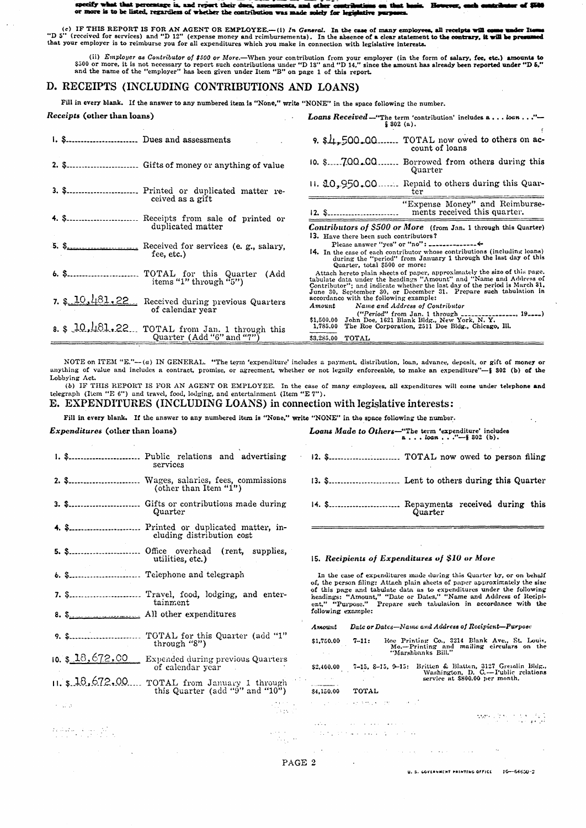meify wh e th t ner is, and re are is to be listed, regardless of whether the contribution was made solely for legislative pr or m

(c) IF THIS REPORT IS FOR AN AGENT OR EMPLOYEE.—(i) In General. In the case of many employees, all receipts will come under under the S"D 5" (received for services) and "D 12" (expense money and reimbursements). In the abs that your employer is to reimburse you for all expenditures which you make in connection with legislative interests.

(ii) *Employer* as *Contributor* of \$500 or *More*.—When your contribution from your employer (in the form of salary, fee, etc.) amounts to \$500 or more, it is not necessary to report such contributions under "D 13" and "

### D. RECEIPTS (INCLUDING CONTRIBUTIONS AND LOANS)

Fill in every blank. If the answer to any numbered item is "None," write "NONE" in the space following the number.

| K <i>eceipts</i> (other than loans) |                                                                                  | <b>Loans Received</b> - "The term 'contribution' includes $a \dots ba$ "<br>\$302(a).                                                                                                                                                                                                              |
|-------------------------------------|----------------------------------------------------------------------------------|----------------------------------------------------------------------------------------------------------------------------------------------------------------------------------------------------------------------------------------------------------------------------------------------------|
|                                     |                                                                                  | TOTAL now owed to others on ac-<br>$9.$ \$4,500,00.<br>count of loans                                                                                                                                                                                                                              |
|                                     |                                                                                  | $10.$ \$ $700.00$<br>Borrowed from others during this<br>Quarter                                                                                                                                                                                                                                   |
|                                     | 3. \$ Printed or duplicated matter re-                                           | 11. 10, 950, 00.<br>Repaid to others during this Quar-<br>ter.                                                                                                                                                                                                                                     |
|                                     | ceived as a gift                                                                 | "Expense Money" and Reimburse-<br>ments received this quarter.<br>$12.$ \$                                                                                                                                                                                                                         |
|                                     | duplicated matter                                                                | <b>Contributors of \$500 or More</b> (from Jan. 1 through this Quarter)                                                                                                                                                                                                                            |
|                                     | fee, etc.)                                                                       | 13. Have there been such contributors?<br>Please answer "yes" or "no": $\frac{1}{2}$<br>14. In the case of each contributor whose contributions (including loans)<br>during the "period" from January 1 through the last day of this<br>Quarter, total \$500 or more:                              |
|                                     | 6. \$ TOTAL for this Quarter (Add<br>items "1" through " $5$ ")                  | Attach hereto plain sheets of paper, approximately the size of this page.<br>tabulate data under the headings "Amount" and "Name and Address of<br>Contributor"; and indicate whether the last day of the period is March 31,<br>June 30, September 30, or December 31. Prepare such tabulation in |
|                                     | 7. $10, 481, 22$ Received during previous Quarters<br>of calendar year           | accordance with the following example:<br>Name and Address of Contributor<br>Amount<br>$("Period" from Jan. 1 through _______1 19]$                                                                                                                                                                |
|                                     | 8. $10,181,22$ . TOTAL from Jan. 1 through this<br>Quarter $(Add''6'' and''7'')$ | \$1,500.00 John Doe, 1621 Blank Bldg., New York, N. Y.<br>1,785.00 The Roe Corporation, 2511 Doe Bldg., Chicago, Ill.<br>\$3,285.00 TOTAL                                                                                                                                                          |

NOTE on ITEM "E."--(a) IN GENERAL. "The term 'expenditure' includes a payment, distribution, loan, advance, deposit, or gift of money or anything of value and includes a contract, promise, or agreement, whether or not legally enforceable, to make an expenditure"-§ 302 (b) of the Lobbying Act.

(b) IF THIS REPORT IS FOR AN AGENT OR EMPLOYEE. In the case of many employees, all expenditures will come under telephone and telegraph (Item "E 6") and travel, food, lodging, and entertainment (Item "E 7").

## E. EXPENDITURES (INCLUDING LOANS) in connection with legislative interests:

Fill in every blank. If the answer to any numbered item is "None," write "NONE" in the space following the number.

# Expenditures (other than loans) Loans Made to Others-"The term 'expenditure' includes<br>a...bon..."-\$ 302 (b). 1. \$............................ Public relations and advertising services Quarter 4. \$.......................... Printed or duplicated matter, including distribution cost ffice overhead (rent, supplies,<br>utilities, etc.) 5. \$........................... Office 6. \$........................... Telephone and telegraph 7. \$........................... Travel, food, lodging, and entertainment All other expenditures  $8.$   $$.$ Amount 10. \$ 18,672,00 Expended during previous Quarters of calendar year \$2,400.00 11. \$18,672.00 TOTAL from January 1 through<br>this Quarter (add "9" and "10")

 $\begin{array}{l} \displaystyle \frac{1}{2} \left( \begin{array}{cc} 0 & 0 & 0 \\ 0 & 0 & 0 \\ 0 & 0 & 0 \end{array} \right) \left( \begin{array}{cc} 0 & 0 & 0 \\ 0 & 0 & 0 \\ 0 & 0 & 0 \end{array} \right) \left( \begin{array}{cc} 0 & 0 & 0 \\ 0 & 0 & 0 \\ 0 & 0 & 0 \end{array} \right) \left( \begin{array}{cc} 0 & 0 & 0 \\ 0 & 0 & 0 \\ 0 & 0 & 0 \end{array} \right) \left( \begin{array}{cc} 0 & 0 & 0 \\ 0 & 0 & 0$ 

د کتاب

14. \$.......................... Repayments received during this Quarter

#### 15. Recipients of Expenditures of \$10 or More

In the case of expenditures made during this Quarter by, or on behalf of, the person filing: Attach plain sheets of paper approximately the size of this page and tabulate data as to expenditures under the following<br>headings: "Amount," "Date or Dates," "Name and Address of Recipi-<br>ent," "Purpose." Prepare such tabulation in accordance with the<br>following example:

Date or Dates-Name and Address of Recipient-Purpose

| \$1,750.00 | $7 - 11:$ | Roe Printing Co., 3214 Blank Ave., St. Louis, |  |
|------------|-----------|-----------------------------------------------|--|
|            |           | Mo.-Printing and mailing circulars on the     |  |
|            |           | "Marshbanks Bill."                            |  |
|            |           |                                               |  |

7-15, 8-15, 9-15: Britten & Blatten, 3127 Grenalin Bldg..<br>Washington, D. C.—Public relations<br>service at \$800.00 per month.

\$4,150.00 TOTAL

 $\mathcal{L}(\mathcal{L}^{\mathcal{L}}(\mathcal{L}))$ 

a presenta de la pro-

and a service control of

المقارب والمحارب والمحارب

 $\label{eq:2} \mathcal{L}(\mathcal{S}_1^{\text{max}}) = \frac{1}{2} \mathcal{L}(\mathcal{S}_1^{\text{max}}) = \frac{1}{2} \mathcal{L}(\mathcal{S}_2^{\text{max}})$ 

PAGE 2

Tales.

U.S. GOVERNMENT PRINTING OFFICE 1G-64650-2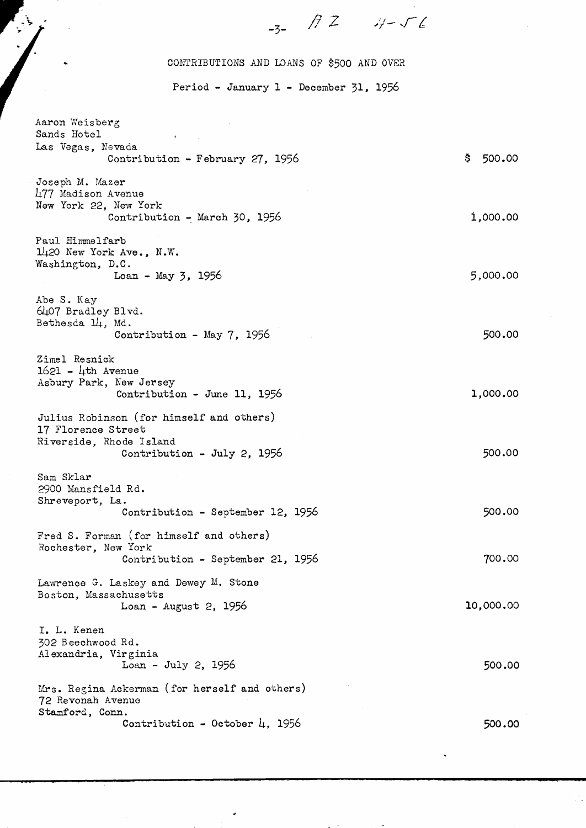### CONTRIBUTIONS AND lDANS OF \$500 AND OVER

 $\frac{1}{3}$  *A* 2 *H* - 56

Period - January 1 - December 31, 1956

Aaron Weisberg Sands Hotel Las Vegas, Nevada Contribution - February 27, 1956 Joseph M. Mazer 417 Madison Avenue New York 22, New York Contribution - March 30, 1956 Paul Himmelfarb 1420 New York Ave., N.W. Washington, D.C. Loan - May 3, <sup>1956</sup> Abe S. Kay 6407 Bradley Blvd. Bethesda 14, Md. Contribution - May 7, 1956 Zimel Resnick  $1621 - \frac{1}{100}$  Avenue Asbury Park, New Jersey Contribution - June 11, 1956 Julius Robinson (for himself and others) 17 Florence Street Riverside, Rhode Island Contribution - July 2, 1956 \$ 500.00 i,ooo.oo 5,000.00 500.00 1,000.00 500.00 Sam Sklar 2900 Mansfield Rd. Shreveport, La. Contribution - September 12, 1956 Fred S. Forman (for himself and others) Rochester, New York Contribution - September 21, 1956 Lawrence G. Laskey and Dewey M. Stone Boston, Massachusetts Loan - August 2, 1956 I. L. Kenen 302 Beechwood Rd. Alexandria, Virginia Loan - July 2, 1956 Mrs. Regina Ackerman (for herself and others) 12 Revonah Avenuo Stam£ord, Conn. Contribution - October 4, 1956 500.00 700.00 10,000.00 500.00 500.00